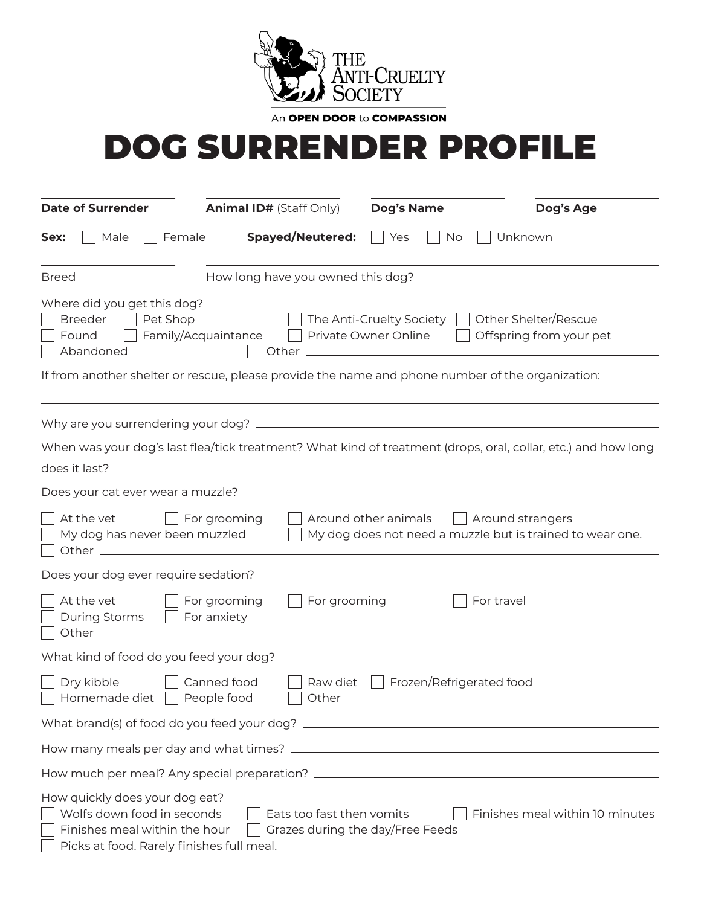

An OPEN DOOR to COMPASSION

## DOG SURRENDER PROFILE

| <b>Date of Surrender</b>                                                                                                                                                                                                                       | <b>Animal ID# (Staff Only)</b>                                                                                       |                                | Dog's Name           |                                                   | Dog's Age                                                                 |
|------------------------------------------------------------------------------------------------------------------------------------------------------------------------------------------------------------------------------------------------|----------------------------------------------------------------------------------------------------------------------|--------------------------------|----------------------|---------------------------------------------------|---------------------------------------------------------------------------|
| Male<br>Female<br>Sex:                                                                                                                                                                                                                         |                                                                                                                      | <b>Spayed/Neutered:</b>        | Yes                  | Unknown<br>No                                     |                                                                           |
| <b>Breed</b>                                                                                                                                                                                                                                   | How long have you owned this dog?                                                                                    |                                |                      |                                                   |                                                                           |
| Where did you get this dog?<br>Breeder<br>Pet Shop<br>$\sim$<br>Found<br>Abandoned                                                                                                                                                             | Family/Acquaintance     Private Owner Online                                                                         |                                |                      | The Anti-Cruelty Society     Other Shelter/Rescue | Offspring from your pet                                                   |
| If from another shelter or rescue, please provide the name and phone number of the organization:                                                                                                                                               |                                                                                                                      |                                |                      |                                                   |                                                                           |
|                                                                                                                                                                                                                                                |                                                                                                                      |                                |                      |                                                   |                                                                           |
| When was your dog's last flea/tick treatment? What kind of treatment (drops, oral, collar, etc.) and how long<br>does it last?                                                                                                                 | <u> 1980 - Jan Stein Stein Stein Stein Stein Stein Stein Stein Stein Stein Stein Stein Stein Stein Stein Stein S</u> |                                |                      |                                                   |                                                                           |
| Does your cat ever wear a muzzle?                                                                                                                                                                                                              |                                                                                                                      |                                |                      |                                                   |                                                                           |
| At the vet<br>My dog has never been muzzled                                                                                                                                                                                                    | $\Box$ For grooming                                                                                                  |                                | Around other animals | Around strangers                                  | $\vert$ $\vert$ My dog does not need a muzzle but is trained to wear one. |
| Does your dog ever require sedation?                                                                                                                                                                                                           |                                                                                                                      |                                |                      |                                                   |                                                                           |
| At the vet<br>During Storms     For anxiety                                                                                                                                                                                                    | For grooming                                                                                                         | For grooming                   |                      | For travel                                        |                                                                           |
| What kind of food do you feed your dog?                                                                                                                                                                                                        |                                                                                                                      |                                |                      |                                                   |                                                                           |
| Dry kibble<br>Homemade diet   People food                                                                                                                                                                                                      | Canned food                                                                                                          | Other $\overline{\phantom{0}}$ |                      | Raw diet   Frozen/Refrigerated food               |                                                                           |
|                                                                                                                                                                                                                                                |                                                                                                                      |                                |                      |                                                   |                                                                           |
|                                                                                                                                                                                                                                                |                                                                                                                      |                                |                      |                                                   |                                                                           |
|                                                                                                                                                                                                                                                |                                                                                                                      |                                |                      |                                                   |                                                                           |
| How quickly does your dog eat?<br>Wolfs down food in seconds<br>Finishes meal within 10 minutes<br>Eats too fast then vomits<br>Finishes meal within the hour<br>Grazes during the day/Free Feeds<br>Picks at food. Rarely finishes full meal. |                                                                                                                      |                                |                      |                                                   |                                                                           |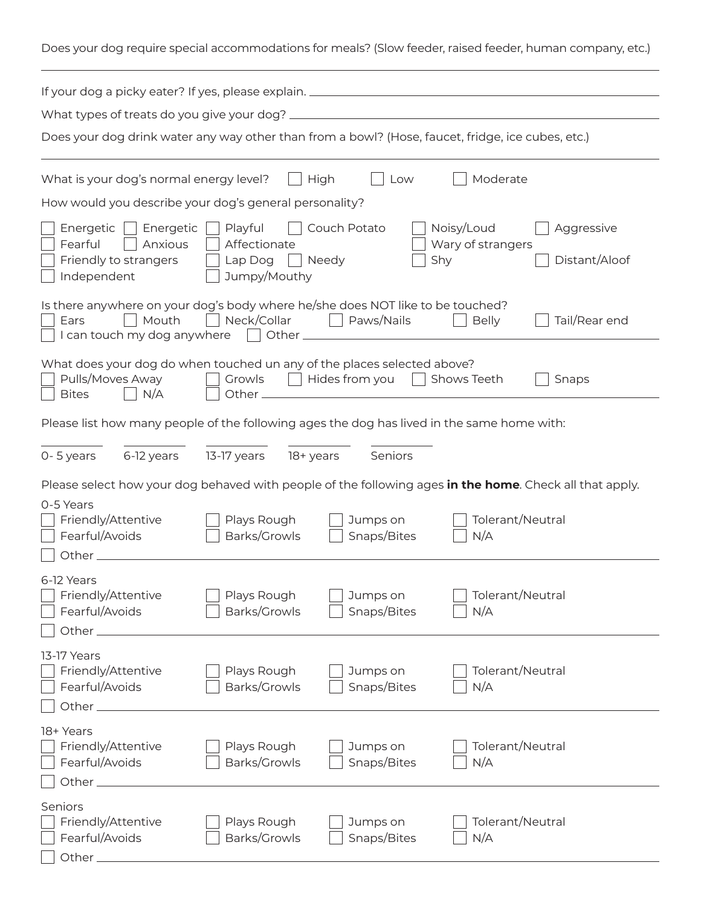Does your dog require special accommodations for meals? (Slow feeder, raised feeder, human company, etc.)

| If your dog a picky eater? If yes, please explain. _____________________________                                                                         |                                                    |                              |                                                                                                         |
|----------------------------------------------------------------------------------------------------------------------------------------------------------|----------------------------------------------------|------------------------------|---------------------------------------------------------------------------------------------------------|
|                                                                                                                                                          |                                                    |                              |                                                                                                         |
| Does your dog drink water any way other than from a bowl? (Hose, faucet, fridge, ice cubes, etc.)                                                        |                                                    |                              |                                                                                                         |
| What is your dog's normal energy level?                                                                                                                  | High                                               | Low                          | Moderate                                                                                                |
| How would you describe your dog's general personality?                                                                                                   |                                                    |                              |                                                                                                         |
| Energetic     Energetic  <br>Fearful<br>Anxious<br>Friendly to strangers<br>Independent                                                                  | Playful<br>Affectionate<br>Lap Dog<br>Jumpy/Mouthy | Couch Potato<br>Shy<br>Needy | Noisy/Loud<br>Aggressive<br>Wary of strangers<br>Distant/Aloof                                          |
| Is there anywhere on your dog's body where he/she does NOT like to be touched?<br>Mouth<br>□ Neck/Collar<br>Paws/Nails<br>Tail/Rear end<br>Ears<br>Belly |                                                    |                              |                                                                                                         |
| What does your dog do when touched un any of the places selected above?<br>Pulls/Moves Away<br>N/A<br><b>Bites</b>                                       | Growls<br>Other_                                   | Hides from you Shows Teeth   | Snaps                                                                                                   |
| Please list how many people of the following ages the dog has lived in the same home with:                                                               |                                                    |                              |                                                                                                         |
| 6-12 years<br>0-5 years                                                                                                                                  | 13-17 years<br>18+ years                           | Seniors                      |                                                                                                         |
|                                                                                                                                                          |                                                    |                              | Please select how your dog behaved with people of the following ages in the home. Check all that apply. |
| 0-5 Years<br>Friendly/Attentive<br>Fearful/Avoids<br>Other_                                                                                              | Plays Rough<br>Barks/Growls                        | Jumps on<br>Snaps/Bites      | Tolerant/Neutral<br>N/A                                                                                 |
| 6-12 Years<br>Friendly/Attentive<br>Fearful/Avoids<br>Other $\_$                                                                                         | Plays Rough<br>Barks/Growls                        | Jumps on<br>Snaps/Bites      | Tolerant/Neutral<br>N/A                                                                                 |
| 13-17 Years<br>Friendly/Attentive<br>Fearful/Avoids<br>Other $\_$                                                                                        | Plays Rough<br>Barks/Growls                        | Jumps on<br>Snaps/Bites      | Tolerant/Neutral<br>N/A                                                                                 |
| 18+ Years<br>Friendly/Attentive<br>Fearful/Avoids<br>Other $\_$                                                                                          | Plays Rough<br>Barks/Growls                        | Jumps on<br>Snaps/Bites      | Tolerant/Neutral<br>N/A                                                                                 |
| Seniors<br>Friendly/Attentive<br>Fearful/Avoids<br>Other $\_$                                                                                            | Plays Rough<br>Barks/Growls                        | Jumps on<br>Snaps/Bites      | Tolerant/Neutral<br>N/A                                                                                 |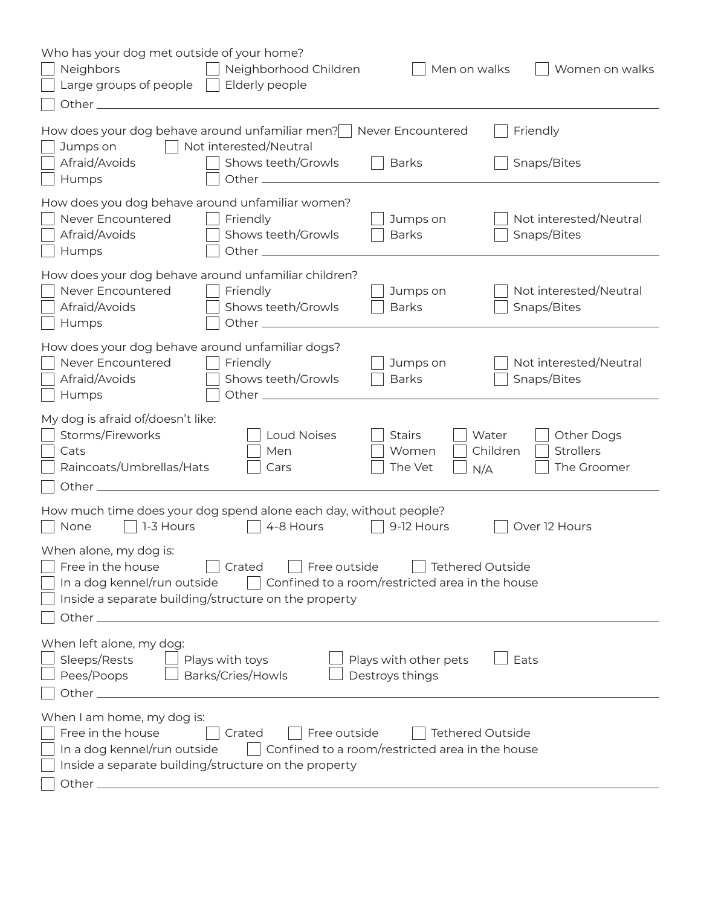| Who has your dog met outside of your home?<br><b>Neighbors</b><br>Neighborhood Children<br>Men on walks<br>Women on walks<br>Large groups of people $\ $<br>Elderly people<br>Other $\mathbf{-}$                                                                                                                                                                                     |  |  |  |
|--------------------------------------------------------------------------------------------------------------------------------------------------------------------------------------------------------------------------------------------------------------------------------------------------------------------------------------------------------------------------------------|--|--|--|
| How does your dog behave around unfamiliar men?   Never Encountered<br>Friendly<br>  Not interested/Neutral<br>Jumps on<br>Afraid/Avoids<br>Shows teeth/Growls<br><b>Barks</b><br>Snaps/Bites                                                                                                                                                                                        |  |  |  |
| Humps<br>How does you dog behave around unfamiliar women?<br>Never Encountered<br>Not interested/Neutral<br>Friendly<br>Jumps on<br>Snaps/Bites<br>Afraid/Avoids<br>Shows teeth/Growls<br><b>Barks</b><br>Humps                                                                                                                                                                      |  |  |  |
| How does your dog behave around unfamiliar children?<br>Never Encountered<br>Friendly<br>Jumps on<br>Not interested/Neutral<br>Afraid/Avoids<br>Shows teeth/Growls<br><b>Barks</b><br>Snaps/Bites<br>Humps                                                                                                                                                                           |  |  |  |
| How does your dog behave around unfamiliar dogs?<br>Never Encountered<br>Friendly<br>Not interested/Neutral<br>Jumps on<br>Shows teeth/Growls<br>Afraid/Avoids<br>Snaps/Bites<br><b>Barks</b><br>Humps                                                                                                                                                                               |  |  |  |
| My dog is afraid of/doesn't like:<br>Storms/Fireworks<br>Loud Noises<br><b>Stairs</b><br>Water<br>Other Dogs<br><b>Strollers</b><br>Children<br>Men<br>Women<br>Cats<br>Raincoats/Umbrellas/Hats<br>The Groomer<br>Cars<br>The Vet<br>N/A                                                                                                                                            |  |  |  |
| How much time does your dog spend alone each day, without people?<br>1-3 Hours<br>None<br>4-8 Hours<br>9-12 Hours<br>Over 12 Hours                                                                                                                                                                                                                                                   |  |  |  |
| When alone, my dog is:<br>Free in the house<br>Free outside<br><b>Tethered Outside</b><br>Crated<br>In a dog kennel/run outside<br>Confined to a room/restricted area in the house<br>Inside a separate building/structure on the property<br>Other $\_$                                                                                                                             |  |  |  |
| When left alone, my dog:<br>Sleeps/Rests<br>Plays with other pets<br>Plays with toys<br>Eats<br>Pees/Poops<br>Barks/Cries/Howls<br>Destroys things<br>Other $\_\_\_\_\_\$                                                                                                                                                                                                            |  |  |  |
| When I am home, my dog is:<br>Free in the house<br>Free outside<br>Crated<br><b>Tethered Outside</b><br>Confined to a room/restricted area in the house<br>In a dog kennel/run outside<br>Inside a separate building/structure on the property<br>Other $\_$<br><u> 1989 - Johann Stein, mars an deutscher Stein und der Stein und der Stein und der Stein und der Stein und der</u> |  |  |  |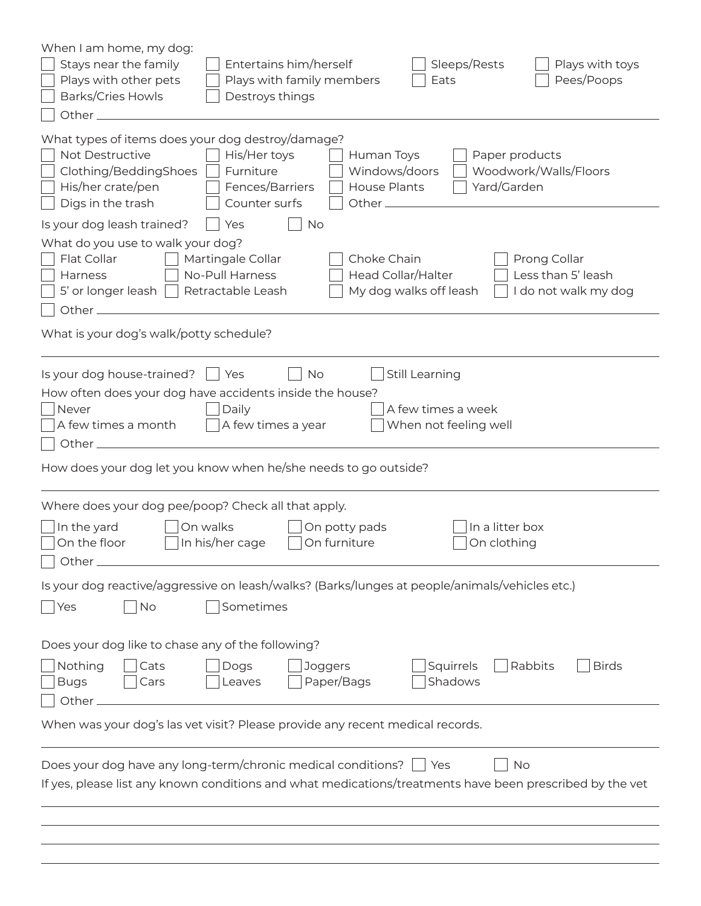| When I am home, my dog:<br>Stays near the family<br>Entertains him/herself<br>Sleeps/Rests<br>Plays with toys<br>Plays with other pets<br>Pees/Poops<br>Plays with family members<br>Eats<br><b>Barks/Cries Howls</b><br>Destroys things<br>Other_                                                                                            |  |  |  |
|-----------------------------------------------------------------------------------------------------------------------------------------------------------------------------------------------------------------------------------------------------------------------------------------------------------------------------------------------|--|--|--|
| What types of items does your dog destroy/damage?<br>Not Destructive<br>His/Her toys<br>Human Toys<br>Paper products<br>Windows/doors<br>Woodwork/Walls/Floors<br>Clothing/BeddingShoes<br>Furniture<br>His/her crate/pen<br>Fences/Barriers<br><b>House Plants</b><br>Yard/Garden<br>Digs in the trash<br>Counter surfs<br>Other $\_\_\_\_\$ |  |  |  |
| Is your dog leash trained?<br><b>No</b><br>Yes                                                                                                                                                                                                                                                                                                |  |  |  |
| What do you use to walk your dog?<br>Flat Collar<br>Martingale Collar<br>Choke Chain<br>Prong Collar<br><b>Head Collar/Halter</b><br>Less than 5' leash<br><b>No-Pull Harness</b><br><b>Harness</b><br>Retractable Leash<br>My dog walks off leash<br>I do not walk my dog<br>5' or longer leash<br>Other $\_$                                |  |  |  |
| What is your dog's walk/potty schedule?                                                                                                                                                                                                                                                                                                       |  |  |  |
| Is your dog house-trained?<br>No<br>Still Learning<br>Yes<br>How often does your dog have accidents inside the house?<br>A few times a week<br>Daily<br><b>Never</b><br>A few times a month<br>When not feeling well<br>A few times a year<br>Other_                                                                                          |  |  |  |
| How does your dog let you know when he/she needs to go outside?                                                                                                                                                                                                                                                                               |  |  |  |
| Where does your dog pee/poop? Check all that apply.<br>In the yard<br>On potty pads<br>In a litter box<br>On walks<br>On the floor<br>In his/her cage<br>On furniture<br>On clothing<br>Other                                                                                                                                                 |  |  |  |
| Is your dog reactive/aggressive on leash/walks? (Barks/lunges at people/animals/vehicles etc.)                                                                                                                                                                                                                                                |  |  |  |
| Sometimes<br>$\overline{\phantom{a}}$ No<br> Yes                                                                                                                                                                                                                                                                                              |  |  |  |
| Does your dog like to chase any of the following?                                                                                                                                                                                                                                                                                             |  |  |  |
| Rabbits<br><b>Birds</b><br>Nothing<br>Cats<br>Dogs<br>Joggers<br>Squirrels<br>Paper/Bags<br>Shadows<br><b>Bugs</b><br>Leaves<br>Cars<br>Other <sub>-</sub>                                                                                                                                                                                    |  |  |  |
| When was your dog's las vet visit? Please provide any recent medical records.                                                                                                                                                                                                                                                                 |  |  |  |
| Does your dog have any long-term/chronic medical conditions?<br>No<br>Yes<br>If yes, please list any known conditions and what medications/treatments have been prescribed by the vet                                                                                                                                                         |  |  |  |
|                                                                                                                                                                                                                                                                                                                                               |  |  |  |
|                                                                                                                                                                                                                                                                                                                                               |  |  |  |
|                                                                                                                                                                                                                                                                                                                                               |  |  |  |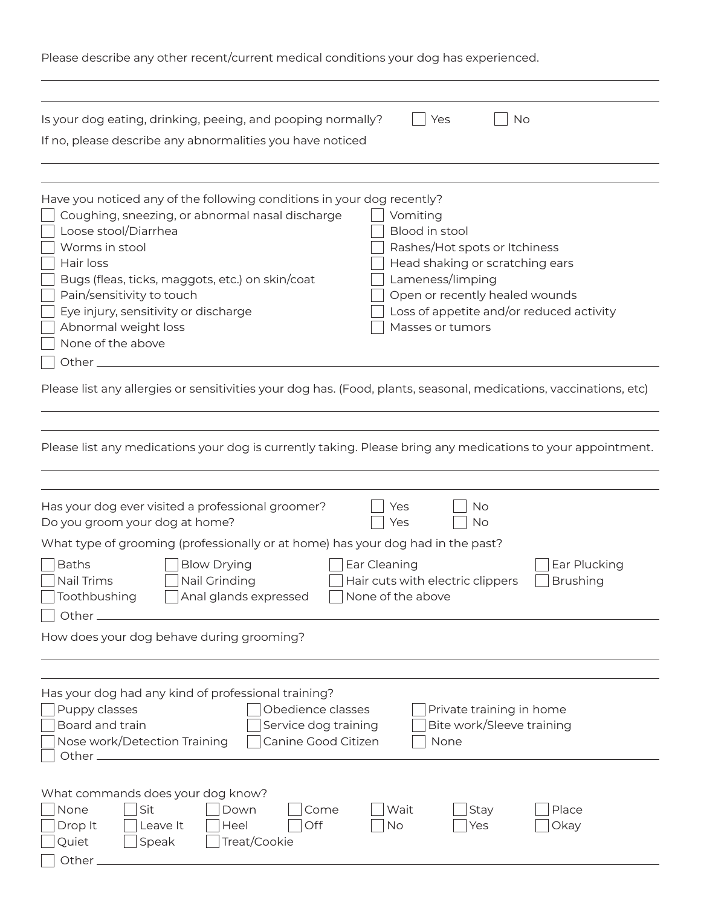| Please describe any other recent/current medical conditions your dog has experienced. |  |  |
|---------------------------------------------------------------------------------------|--|--|
|                                                                                       |  |  |

| Is your dog eating, drinking, peeing, and pooping normally?<br>Yes<br>If no, please describe any abnormalities you have noticed                                                                                                                                                                                                                                                                                                                               | No                                                                                                                                             |
|---------------------------------------------------------------------------------------------------------------------------------------------------------------------------------------------------------------------------------------------------------------------------------------------------------------------------------------------------------------------------------------------------------------------------------------------------------------|------------------------------------------------------------------------------------------------------------------------------------------------|
| Have you noticed any of the following conditions in your dog recently?<br>Coughing, sneezing, or abnormal nasal discharge<br>Vomiting<br>Loose stool/Diarrhea<br>Blood in stool<br>Worms in stool<br>Hair loss<br>Lameness/limping<br>Bugs (fleas, ticks, maggots, etc.) on skin/coat<br>Pain/sensitivity to touch<br>Eye injury, sensitivity or discharge<br>Abnormal weight loss<br>Masses or tumors<br>None of the above<br>Other $\overline{\phantom{a}}$ | Rashes/Hot spots or Itchiness<br>Head shaking or scratching ears<br>Open or recently healed wounds<br>Loss of appetite and/or reduced activity |
| Please list any allergies or sensitivities your dog has. (Food, plants, seasonal, medications, vaccinations, etc)                                                                                                                                                                                                                                                                                                                                             |                                                                                                                                                |
| Please list any medications your dog is currently taking. Please bring any medications to your appointment.                                                                                                                                                                                                                                                                                                                                                   |                                                                                                                                                |
| Has your dog ever visited a professional groomer?<br>Yes<br>Do you groom your dog at home?<br>Yes<br>What type of grooming (professionally or at home) has your dog had in the past?<br><b>Baths</b><br><b>Blow Drying</b><br>Ear Cleaning<br>Nail Trims<br>Nail Grinding<br>Hair cuts with electric clippers<br>Toothbushing<br>None of the above<br>Anal glands expressed                                                                                   | No<br><b>No</b><br>Ear Plucking<br><b>Brushing</b>                                                                                             |
| Other_<br>How does your dog behave during grooming?                                                                                                                                                                                                                                                                                                                                                                                                           |                                                                                                                                                |
| Has your dog had any kind of professional training?<br>Obedience classes<br>Puppy classes<br>Board and train<br>Service dog training<br>Nose work/Detection Training<br>Canine Good Citizen<br>None<br>Other $\equiv$                                                                                                                                                                                                                                         | Private training in home<br>Bite work/Sleeve training                                                                                          |
| What commands does your dog know?<br>Sit<br>Wait<br>None<br>Down<br>Come<br>Off<br>Drop It<br>Leave It<br>Heel<br>No<br>Treat/Cookie<br>Quiet<br>Speak<br>Other.                                                                                                                                                                                                                                                                                              | Place<br><b>Stay</b><br>Okay<br>Yes                                                                                                            |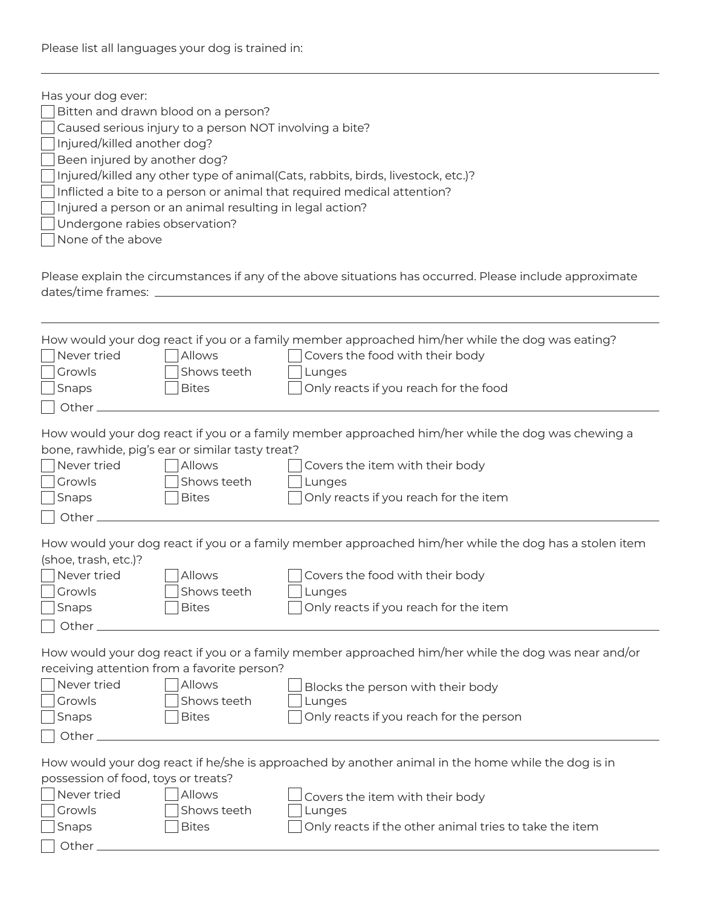| Has your dog ever:                                                                                                                        |                                                          |                                                                                                          |  |
|-------------------------------------------------------------------------------------------------------------------------------------------|----------------------------------------------------------|----------------------------------------------------------------------------------------------------------|--|
|                                                                                                                                           | Bitten and drawn blood on a person?                      |                                                                                                          |  |
|                                                                                                                                           | Caused serious injury to a person NOT involving a bite?  |                                                                                                          |  |
| Injured/killed another dog?                                                                                                               |                                                          |                                                                                                          |  |
| Been injured by another dog?                                                                                                              |                                                          |                                                                                                          |  |
|                                                                                                                                           |                                                          | Injured/killed any other type of animal(Cats, rabbits, birds, livestock, etc.)?                          |  |
|                                                                                                                                           |                                                          | Inflicted a bite to a person or animal that required medical attention?                                  |  |
|                                                                                                                                           | Injured a person or an animal resulting in legal action? |                                                                                                          |  |
| Undergone rabies observation?                                                                                                             |                                                          |                                                                                                          |  |
| None of the above                                                                                                                         |                                                          |                                                                                                          |  |
|                                                                                                                                           |                                                          |                                                                                                          |  |
|                                                                                                                                           |                                                          | Please explain the circumstances if any of the above situations has occurred. Please include approximate |  |
| dates/time frames:                                                                                                                        |                                                          |                                                                                                          |  |
|                                                                                                                                           |                                                          |                                                                                                          |  |
|                                                                                                                                           |                                                          |                                                                                                          |  |
|                                                                                                                                           |                                                          | How would your dog react if you or a family member approached him/her while the dog was eating?          |  |
| Never tried                                                                                                                               | Allows                                                   |                                                                                                          |  |
|                                                                                                                                           |                                                          | Covers the food with their body                                                                          |  |
| Growls                                                                                                                                    | Shows teeth                                              | Lunges                                                                                                   |  |
| Snaps                                                                                                                                     | <b>Bites</b>                                             | Only reacts if you reach for the food                                                                    |  |
| Other.                                                                                                                                    |                                                          |                                                                                                          |  |
|                                                                                                                                           |                                                          | How would your dog react if you or a family member approached him/her while the dog was chewing a        |  |
|                                                                                                                                           |                                                          |                                                                                                          |  |
|                                                                                                                                           | bone, rawhide, pig's ear or similar tasty treat?         |                                                                                                          |  |
| Never tried                                                                                                                               | Allows                                                   | Covers the item with their body                                                                          |  |
| Growls                                                                                                                                    | Shows teeth                                              | Lunges                                                                                                   |  |
| Snaps                                                                                                                                     | <b>Bites</b>                                             | Only reacts if you reach for the item                                                                    |  |
| Other.                                                                                                                                    |                                                          |                                                                                                          |  |
|                                                                                                                                           |                                                          | How would your dog react if you or a family member approached him/her while the dog has a stolen item    |  |
| (shoe, trash, etc.)?                                                                                                                      |                                                          |                                                                                                          |  |
| Never tried                                                                                                                               |                                                          |                                                                                                          |  |
|                                                                                                                                           | <b>Allows</b>                                            | Covers the food with their body                                                                          |  |
| Growls                                                                                                                                    | Shows teeth                                              | Lunges                                                                                                   |  |
| Snaps                                                                                                                                     | <b>Bites</b>                                             | Only reacts if you reach for the item                                                                    |  |
| Other_                                                                                                                                    |                                                          |                                                                                                          |  |
|                                                                                                                                           |                                                          | How would your dog react if you or a family member approached him/her while the dog was near and/or      |  |
|                                                                                                                                           | receiving attention from a favorite person?              |                                                                                                          |  |
| Never tried                                                                                                                               |                                                          |                                                                                                          |  |
|                                                                                                                                           | Allows                                                   | Blocks the person with their body                                                                        |  |
| Growls                                                                                                                                    | Shows teeth                                              | Lunges                                                                                                   |  |
| Snaps                                                                                                                                     | <b>Bites</b>                                             | Only reacts if you reach for the person                                                                  |  |
| Other $\_$                                                                                                                                |                                                          |                                                                                                          |  |
|                                                                                                                                           |                                                          |                                                                                                          |  |
| How would your dog react if he/she is approached by another animal in the home while the dog is in<br>possession of food, toys or treats? |                                                          |                                                                                                          |  |
|                                                                                                                                           |                                                          |                                                                                                          |  |
| Never tried                                                                                                                               | Allows                                                   | Covers the item with their body                                                                          |  |
| Growls                                                                                                                                    | Shows teeth                                              | Lunges                                                                                                   |  |
| Snaps                                                                                                                                     | <b>Bites</b>                                             | Only reacts if the other animal tries to take the item                                                   |  |
| Other $\_$                                                                                                                                |                                                          |                                                                                                          |  |